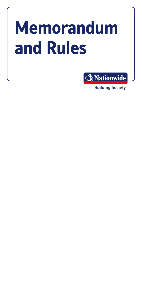# **Memorandum and Rules**



Building Society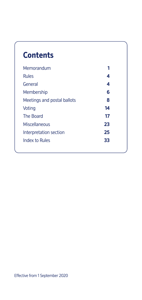# **Contents**

| Memorandum                  | 1  |
|-----------------------------|----|
| <b>Rules</b>                | 4  |
| General                     | 4  |
| Membership                  | 6  |
| Meetings and postal ballots | 8  |
| Voting                      | 14 |
| The Board                   | 17 |
| Miscellaneous               | 23 |
| Interpretation section      | 25 |
| Index to Rules              | 33 |
|                             |    |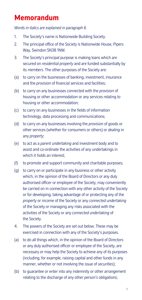# **Memorandum**

*Words in italics are explained in paragraph 6* 

- 1. The Society's name is Nationwide Building Society.
- 2. The principal office of the Society is Nationwide House, Pipers Way, Swindon SN38 1NW.
- 3. The Society's principal purpose is making loans which are secured on *residential property* and are funded substantially by its *members*. The other purposes of the Society are:
- (a) to carry on the businesses of banking, investment, insurance and the *provision* of financial services and facilities;
- (b) to carry on any businesses connected with the *provision* of housing or other accommodation or any services relating to housing or other accommodation;
- (c) to carry on any businesses in the fields of information technology, data processing and communications;
- (d) to carry on any businesses involving the *provision* of goods or other services (whether for consumers or others) or *dealing* in any *property*;
- (e) to act as a *parent undertaking* and investment body and to assist and co-ordinate the activities of any undertakings in which it holds an interest:
- (f) to promote and support community and charitable purposes;
- (g) to carry on or participate in any business or other activity which, in the opinion of the Board of Directors or any duly authorised officer or employee of the Society, may conveniently be carried on in connection with any other activity of the Society or for developing, taking advantage of or protecting any of the *property* or income of the Society or any *connected undertaking*  of the Society or managing any risks associated with the activities of the Society or any *connected undertaking* of the Society.
- 4. The powers of the Society are set out below. These may be exercised in connection with any of the Society's purposes.
- (a) to do all things which, in the opinion of the Board of Directors or any duly authorised officer or employee of the Society, are necessary or may help the Society to achieve any of its purposes (including, for example, raising capital and other funds in any manner, whether or not involving the issue of *securities*);
- (b) to guarantee or enter into any indemnity or other arrangement relating to the discharge of any other *person's* obligations;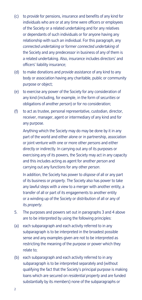- (c) to *provide* for pensions, insurance and benefits of any kind for individuals who are or at any time were officers or employees of the Society or a related undertaking and for any relatives or dependants of such individuals or for anyone having any relationship with such an individual. For this paragraph, any *connected undertaking* or former *connected undertaking* of the Society and any predecessor in business of any of them is a related undertaking. Also, insurance includes directors' and officers' liability insurance;
- (d) to make donations and *provide* assistance of any kind to any body or association having any charitable, public or community purpose or object;
- (e) to exercise any power of the Society for any consideration of any kind (including, for example, in the form of *securities* or obligations of another *person*) or for no consideration;
- (f) to act as trustee, personal representative, custodian, director, receiver, manager, agent or intermediary of any kind and for any purpose.

Anything which the Society may do may be done by it in any part of the world and either alone or in partnership, association or joint venture with one or more other *persons* and either directly or indirectly. In carrying out any of its purposes or exercising any of its powers, the Society may act in any capacity and this includes acting as agent for another *person* and carrying out any functions for any other *person*.

In addition, the Society has power to *dispose* of all or any part of its business or *property*. The Society also has power to take any lawful steps with a view to a merger with another entity, a transfer of all or part of its engagements to another entity or a winding up of the Society or distribution of all or any of its *property*.

- 5. The purposes and powers set out in paragraphs 3 and 4 above are to be interpreted by using the following principles:
- (a) each subparagraph and each activity referred to in any subparagraph is to be interpreted in the broadest possible sense and any examples given are not to be interpreted as restricting the meaning of the purpose or power which they relate to;
- (b) each subparagraph and each activity referred to in any subparagraph is to be interpreted separately and (without qualifying the fact that the Society's principal purpose is making loans which are secured on *residential property* and are funded substantially by its *members*) none of the subparagraphs or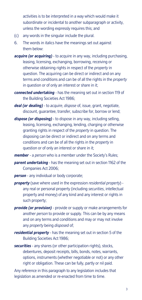activities is to be interpreted in a way which would make it subordinate or incidental to another subparagraph or activity, unless the wording expressly requires this; and

- (c) any words in the singular include the plural.
- 6. The words in italics have the meanings set out against them below:
- *acquire (or acquiring)*  to acquire in any way, including purchasing, leasing, licensing, exchanging, borrowing, receiving or otherwise obtaining rights in respect of the *property* in question. The acquiring can be direct or indirect and on any terms and conditions and can be of all the rights in the *property*  in question or of only an interest or share in it;
- *connected undertaking*  has the meaning set out in section 119 of the Building Societies Act 1986;
- *deal (or dealing)*  to *acquire*, *dispose* of, issue, grant, negotiate, discount, guarantee, transfer, subscribe for, borrow or lend;
- *dispose (or disposing)* to dispose in any way, including selling, leasing, licensing, exchanging, lending, charging or otherwise granting rights in respect of the *property* in question. The disposing can be direct or indirect and on any terms and conditions and can be of all the rights in the *property* in question or of only an interest or share in it;
- *member*  a *person* who is a member under the Society's Rules;
- *parent undertaking* has the meaning set out in section 1162 of the Companies Act 2006;
- **person** any individual or body corporate;
- *property* (save where used in the expression *residential property*) any real or personal property (including *securities*, intellectual property and money) of any kind and any interest or rights in such property;
- *provide (or provision)*  provide or supply or make arrangements for another *person* to provide or supply. This can be by any means and on any terms and conditions and may or may not involve any *property* being *disposed* of;
- *residential property* has the meaning set out in section 5 of the Building Societies Act 1986;
- *securities* any shares (or other participation rights), stocks, debentures, deposit receipts, bills, bonds, notes, warrants, options, instruments (whether negotiable or not) or any other right or obligation. These can be fully, partly or nil paid.

Any reference in this paragraph to any legislation includes that legislation as amended or re-enacted from time to time.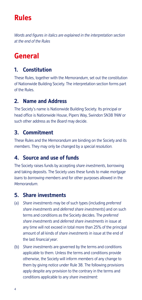# **Rules**

*Words and fgures in italics are explained in the interpretation section at the end of the Rules* 

# **General**

# **1. Constitution**

These Rules, together with the *Memorandum*, set out the constitution of Nationwide Building Society. The interpretation section forms part of the Rules.

# **2. Name and Address**

The Society's name is Nationwide Building Society. Its principal or head office is Nationwide House, Pipers Way, Swindon SN38 1NW or such other address as the *Board* may decide.

# **3. Commitment**

These Rules and the *Memorandum* are binding on the Society and its *members*. They may only be changed by a *special resolution*.

# **4. Source and use of funds**

The Society raises funds by accepting *share investments*, borrowing and taking deposits. The Society uses these funds to make *mortgage loans* to *borrowing members* and for other purposes allowed in the *Memorandum*.

## **5. Share investments**

- (a) *Share investments* may be of such types (including *preferred share investments* and *deferred share investments*) and on such terms and conditions as the Society decides. The *preferred share investments* and *deferred share investments* in issue at any time will not exceed in total more than 25% of the principal amount of all kinds of *share investments* in issue at the end of the last *financial year*.
- (b) *Share investments* are governed by the terms and conditions applicable to them. Unless the terms and conditions provide otherwise, the Society will inform *members* of any change to them by giving notice under Rule 38. The following provisions apply despite any provision to the contrary in the terms and conditions applicable to any *share investment*: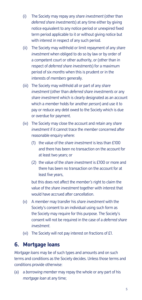- (i) The Society may repay any *share investment* (other than *deferred share investments*) at any time either by giving notice equivalent to any notice period or unexpired fixed term period applicable to it or without giving notice but with interest in respect of any such period.
- (ii) The Society may withhold or limit repayment of any *share investment* when obliged to do so by law or by order of a competent court or other authority, or (other than in respect of *deferred share investments*) for a maximum period of six *months* when this is prudent or in the interests of *members* generally.
- (iii) The Society may withhold all or part of any *share investment* (other than *deferred share investments* or any *share investment* which is clearly designated as an account which a *member* holds for another *person*) and use it to pay or reduce any debt owed to the Society which is due or overdue for payment.
- (iv) The Society may close the account and retain any *share investment* if it cannot trace the *member* concerned after reasonable enquiry where:
	- (1) the value of the *share investment* is less than £100 and there has been no transaction on the account for at least two years; or
	- (2) the value of the *share investment* is £100 or more and there has been no transaction on the account for at least five years,

but this does not affect the *member's* right to claim the value of the *share investment* together with interest that would have accrued after cancellation.

- (v) A *member* may transfer his *share investment* with the Society's consent to an individual using such form as the Society may require for this purpose. The Society's consent will not be required in the case of a *deferred share investment*.
- (vi) The Society will not pay interest on fractions of £1.

#### **6. Mortgage loans**

*Mortgage loans* may be of such types and amounts and on such terms and conditions as the Society decides. Unless those terms and conditions provide otherwise:

(a) a *borrowing member* may repay the whole or any part of his *mortgage loan* at any time;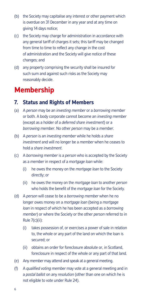- (b) the Society may capitalise any interest or other payment which is overdue on 31 December in any year and at any time on giving 14 days notice;
- (c) the Society may charge for administration in accordance with any general tariff of charges it sets; this tariff may be changed from time to time to reflect any change in the cost of administration and the Society will give notice of these changes; and
- (d) any property comprising the security shall be insured for such sum and against such risks as the Society may reasonably decide.

# **Membership**

#### **7. Status and Rights of Members**

- (a) A *person* may be an *investing member* or a *borrowing member*  or both. A body corporate cannot become an *investing member*  (except as a holder of a *deferred share investment*) or a *borrowing member*. No other *person* may be a *member*.
- (b) A *person* is an *investing member* while he holds a *share investment* and will no longer be a *member* when he ceases to hold a *share investment*.
- (c) A *borrowing member* is a *person* who is accepted by the Society as a *member* in respect of a *mortgage loan* while:
	- (i) he owes the money on the *mortgage loan* to the Society directly; or
	- (ii) he owes the money on the *mortgage loan* to another *person*  who holds the benefit of the *mortgage loan* for the Society.
- (d) A *person* will cease to be a *borrowing member* when he no longer owes money on a *mortgage loan* (being a *mortgage loan* in respect of which he has been accepted as a *borrowing member*) or where the Society or the other *person* referred to in Rule 7(c)(ii):
	- (i) takes possession of, or exercises a power of sale in relation to, the whole or any part of the land on which the loan is secured; or
	- (ii) obtains an order for foreclosure absolute or, in Scotland, foreclosure in respect of the whole or any part of that land.
- (e) Any *member* may attend and speak at a general meeting.
- (f) A *qualified voting member* may vote at a general meeting and in a *postal ballot* on any *resolution* (other than one on which he is not eligible to vote under Rule 24).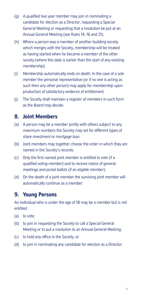- (g) A *qualified two year member* may join in nominating a candidate for election as a Director, requesting a Special General Meeting or requesting that a *resolution* be put at an Annual General Meeting (see Rules 14, 16 and 31).
- (h) Where a *person* was a member of another building society which merges with the Society, *membership* will be treated as having started when he became a member of the other society (where this date is earlier than the start of any existing *membership*).
- (i) *Membership* automatically ends on death. In the case of a sole *member* the personal representative (or if no one is acting as such then any other *person*) may apply for *membership* upon production of satisfactory evidence of entitlement.
- (j) The Society shall maintain a register of *members* in such form as the *Board* may decide.

#### **8. Joint Members**

- (a) A *person* may be a *member* jointly with others subject to any maximum numbers the Society may set for different types of *share investment* or *mortgage loan*.
- (b) Joint *members* may together choose the order in which they are named in the Society's records.
- (c) Only the first named joint *member* is entitled to vote (if a *qualified voting member*) and to receive notice of general meetings and *postal ballots* (if an *eligible member*).
- (d) On the death of a joint *member* the surviving joint *member* will automatically continue as a *member*.

#### **9. Young Persons**

An individual who is under the age of 18 may be a *member* but is not entitled:

- (a) to vote;
- (b) to join in requesting the Society to call a Special General Meeting or to put a *resolution* to an Annual General Meeting;
- (c) to hold any office in the Society; or
- (d) to join in nominating any candidate for election as a Director.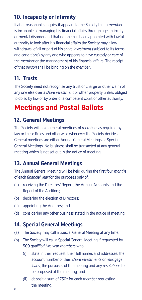# **10. Incapacity or Infrmity**

If after reasonable enquiry it appears to the Society that a *member*  is incapable of managing his financial affairs through age, infirmity or mental disorder and that no-one has been appointed with lawful authority to look after his financial affairs the Society may allow withdrawal of all or part of his *share investment* (subject to its terms and conditions) by any one who appears to have custody or care of the *member* or the management of his fnancial affairs. The receipt of that *person* shall be binding on the *member*.

# **11. Trusts**

The Society need not recognise any trust or charge or other claim of any one else over a *share investment* or other property unless obliged to do so by law or by order of a competent court or other authority.

# **Meetings and Postal Ballots**

## **12. General Meetings**

The Society will hold general meetings of *members* as required by law or these Rules and otherwise whenever the Society decides. General meetings are either Annual General Meetings or Special General Meetings. No business shall be transacted at any general meeting which is not set out in the notice of meeting.

#### **13. Annual General Meetings**

The Annual General Meeting will be held during the frst four *months*  of each *fnancial year* for the purposes only of:

- (a) receiving the Directors' Report, the Annual Accounts and the Report of the Auditors;
- (b) declaring the election of Directors;
- (c) appointing the Auditors; and
- (d) considering any other business stated in the notice of meeting.

#### **14. Special General Meetings**

- (a) The Society may call a Special General Meeting at any time.
- (b) The Society will call a Special General Meeting if requested by 500 *qualified two year members* who:
	- (i) state in their request, their full names and addresses, the account number of their *share investments* or *mortgage loans*, the purposes of the meeting and any *resolutions* to be proposed at the meeting; and
	- (ii) deposit a sum of £50\* for each *member* requesting the meeting.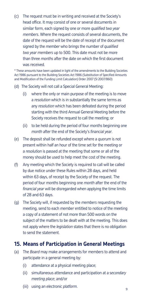(c) The request must be in writing and received at the Society's head office. It may consist of one or several documents in similar form, each signed by one or more *qualified two year members*. Where the request consists of several documents, the date of the request will be the date of receipt of the document signed by the *member* who brings the number of *qualified two year members* up to 500. This date must not be more than three *months* after the date on which the first document was received.

\* These amounts have been updated in light of the amendments to the Building Societies Act 1986 pursuant to the Building Societies Act 1986 (Substitution of Specifed Amounts and Modifcation of the Funding Limit Calculation) Order 2007 (SI 2007/860)

- (d) The Society will not call a Special General Meeting:
	- (i) where the only or main purpose of the meeting is to move a *resolution* which is in substantially the same terms as any *resolution* which has been defeated during the period starting with the third Annual General Meeting before the Society receives the request to call the meeting; or
	- (ii) to be held during the period of four *months* beginning one *month* after the end of the Society's *financial year*.
- (e) The deposit shall be refunded except where a *quorum* is not present within half an hour of the time set for the meeting or a *resolution* is passed at the meeting that some or all of the money should be used to help meet the cost of the meeting.
- (f) Any meeting which the Society is required to call will be called by due notice under these Rules within 28 days, and held within 63 days, of receipt by the Society of the request. The period of four *months* beginning one *month* after the end of the *financial year* will be disregarded when applying the time limits of 28 and 63 days.
- (g) The Society will, if requested by the *members* requesting the meeting, send to each *member* entitled to notice of the meeting a copy of a statement of not more than 500 words on the subject of the matters to be dealt with at the meeting. This does not apply where the *legislation* states that there is no obligation to send the statement.

#### **15. Means of Participation in General Meetings**

- (a) The *Board* may make arrangements for *members* to attend and participate in a general meeting by:
	- (i) attendance at a physical meeting place;
	- (ii) simultaneous attendance and participation at a s*econdary meeting place*; and/or
	- (iii) using an *electronic platform*. 9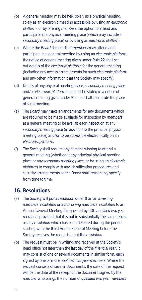- (b) A general meeting may be held solely as a physical meeting, solely as an electronic meeting accessible by using an *electronic platform*, or by offering *members* the option to attend and participate at a physical meeting place (which may include a *secondary meeting place*) or by using an *electronic platform*.
- (including any access arrangements for such *electronic platform*  (c) Where the *Board* decides that *members* may attend and participate in a general meeting by using an *electronic platform*, the notice of general meeting given under Rule 22 shall set out details of the *electronic platform* for the general meeting and any other information that the Society may specify).
- (d) Details of any physical meeting place, *secondary meeting place*  and/or *electronic platform* that shall be stated in a notice of general meeting given under Rule 22 shall constitute the place of such meeting.
- (e) The *Board* may make arrangements for any documents which are required to be made available for inspection by *members*  at a general meeting to be available for inspection at any *secondary meeting place* (in addition to the principal physical meeting place) and/or to be accessible electronically on an *electronic platform*.
- (f) The Society shall require any persons wishing to attend a general meeting (whether at any principal physical meeting place or any *secondary meeting place*, or by using an *electronic platform*) to comply with any identification procedures and security arrangements as the *Board* shall reasonably specify from time to time.

#### **16. Resolutions**

- (a) The Society will put a *resolution* other than an *investing members' resolution* or a *borrowing members' resolution* to an Annual General Meeting if requested by 500 *qualified two year members* provided that it is not in substantially the same terms as any *resolution* which has been defeated during the period starting with the third Annual General Meeting before the Society receives the request to put the *resolution*.
- (b) The request must be in writing and received at the Society's head office not later than the last day of the *financial year*. It may consist of one or several documents in similar form, each signed by one or more *qualified two year members*. Where the request consists of several documents, the date of the request will be the date of the receipt of the document signed by the *member* who brings the number of *qualified two year members*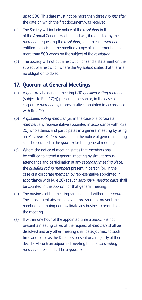up to 500. This date must not be more than three *months* after the date on which the first document was received.

- (c) The Society will include notice of the *resolution* in the notice of the Annual General Meeting and will, if requested by the *members* requesting the *resolution*, send to each *member*  entitled to notice of the meeting a copy of a statement of not more than 500 words on the subject of the *resolution*.
- (d) The Society will not put a *resolution* or send a statement on the subject of a *resolution* where the *legislation* states that there is no obligation to do so.

#### **17. Quorum at General Meetings**

- (a) A *quorum* at a general meeting is 10 *qualified voting members*  (subject to Rule 17(e)) present in person or, in the case of a corporate *member*, by representative appointed in accordance with Rule 20.
- (b) A *qualified voting member* (or, in the case of a corporate *member*, any representative appointed in accordance with Rule 20) who attends and participates in a general meeting by using an *electronic platform* specified in the notice of general meeting shall be counted in the *quorum* for that general meeting.
- (c) Where the notice of meeting states that *members* shall be entitled to attend a general meeting by simultaneous attendance and participation at any *secondary meeting place*, the *qualified voting members* present in person (or, in the case of a corporate *member*, by representative appointed in accordance with Rule 20) at such *secondary meeting place* shall be counted in the *quorum* for that general meeting.
- (d) The business of the meeting shall not start without a *quorum*. The subsequent absence of a *quorum* shall not prevent the meeting continuing nor invalidate any business conducted at the meeting.
- (e) If within one hour of the appointed time a *quorum* is not present a meeting called at the request of *members* shall be dissolved and any other meeting shall be adjourned to such time and place as the Directors present or a majority of them decide. At such an adjourned meeting the *qualified voting members* present shall be a *quorum*.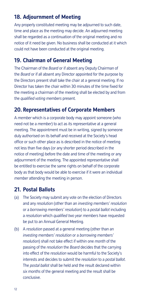# **18. Adjournment of Meeting**

Any properly constituted meeting may be adjourned to such date, time and place as the meeting may decide. An adjourned meeting shall be regarded as a continuation of the original meeting and no notice of it need be given. No business shall be conducted at it which could not have been conducted at the original meeting.

## **19. Chairman of General Meeting**

The Chairman of the *Board* or if absent any Deputy Chairman of the *Board* or if all absent any Director appointed for the purpose by the Directors present shall take the chair at a general meeting. If no Director has taken the chair within 30 minutes of the time fixed for the meeting a chairman of the meeting shall be elected by and from the *qualifed voting members* present.

## **20. Representatives of Corporate Members**

A *member* which is a corporate body may appoint someone (who need not be a *member*) to act as its representative at a general meeting. The appointment must be in writing, signed by someone duly authorised on its behalf and received at the Society's head office or such other place as is described in the notice of meeting not less than fve days (or any shorter period described in the notice of meeting) before the date and time of the meeting or any adjournment of the meeting. The appointed representative shall be entitled to exercise the same rights on behalf of the corporate body as that body would be able to exercise if it were an individual *member* attending the meeting in person.

## **21. Postal Ballots**

- (a) The Society may submit any vote on the election of Directors and any *resolution* (other than an *investing members' resolution*  or a *borrowing members' resolution*) to a *postal ballot* including a *resolution* which *qualified two year members* have requested be put to an Annual General Meeting.
- (b) A *resolution* passed at a general meeting (other than an *investing members' resolution* or a *borrowing members' resolution*) shall not take effect if within one *month* of the passing of the *resolution* the *Board* decides that the carrying into effect of the *resolution* would be harmful to the Society's interests and decides to submit the *resolution* to a *postal ballot*. The *postal ballot* shall be held and the result declared within *six months* of the general meeting and the result shall be conclusive.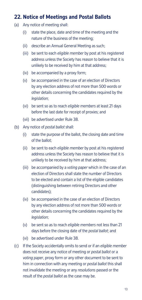## **22. Notice of Meetings and Postal Ballots**

- (a) Any notice of meeting shall:
	- (i) state the place, date and time of the meeting and the nature of the business of the meeting;
	- (ii) describe an Annual General Meeting as such;
	- unlikely to be received by him at that address; (iii) be sent to each *eligible member* by post at his registered address unless the Society has reason to believe that it is
	- (iv) be accompanied by a proxy form;
	- (v) be accompanied in the case of an election of Directors by any election address of not more than 500 words or other details concerning the candidates required by the *legislation*;
	- (vi) be sent so as to reach *eligible members* at least 21 days before the last date for receipt of proxies; and
	- (vii) be advertised under Rule 38.
- (b) Any notice of *postal ballot* shall:
	- (i) state the purpose of the ballot, the closing date and time of the ballot;
	- (ii) be sent to each *eligible member* by post at his registered address unless the Society has reason to believe that it is unlikely to be received by him at that address;
	- (iii) be accompanied by a *voting paper* which in the case of an election of Directors shall state the number of Directors to be elected and contain a list of the eligible candidates (distinguishing between retiring Directors and other candidates);
	- (iv) be accompanied in the case of an election of Directors by any election address of not more than 500 words or other details concerning the candidates required by the *legislation*;
	- (v) be sent so as to reach *eligible members* not less than 21 days before the closing date of the *postal ballot*; and
	- (vi) be advertised under Rule 38.
- (c) If the Society accidentally omits to send or if an *eligible member*  does not receive any notice of meeting or *postal ballot* or a *voting paper*, proxy form or any other document to be sent to him in connection with any meeting or *postal ballot* this shall not invalidate the meeting or any *resolutions* passed or the result of the *postal ballot* as the case may be.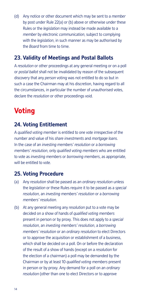(d) Any notice or other document which may be sent to a *member*  by post under Rule 22(a) or (b) above or otherwise under these Rules or the *legislation* may instead be made available to a *member* by *electronic communication*, subject to complying with the *legislation*, in such manner as may be authorised by the *Board* from time to time.

## **23. Validity of Meetings and Postal Ballots**

A *resolution* or other proceedings at any general meeting or on a poll or *postal ballot* shall not be invalidated by reason of the subsequent discovery that any *person* voting was not entitled to do so but in such a case the Chairman may at his discretion, having regard to all the circumstances, in particular the number of unauthorised votes, declare the *resolution* or other proceedings void.

# **Voting**

# **24. Voting Entitlement**

A *qualifed voting member* is entitled to one vote irrespective of the number and value of his *share investments* and *mortgage loans*. In the case of an *investing members' resolution* or a *borrowing members' resolution*, only *qualifed voting members* who are entitled to vote as *investing members* or *borrowing members*, as appropriate, will be entitled to vote.

## **25. Voting Procedure**

- (a) Any *resolution* shall be passed as an *ordinary resolution* unless the *legislation* or these Rules require it to be passed as a *special resolution*, an *investing members' resolution* or a *borrowing members' resolution*.
- (b) At any general meeting any *resolution* put to a vote may be decided on a show of hands of *qualified voting members*  present in person or by proxy. This does not apply to a *special resolution*, an *investing members' resolution*, a *borrowing members' resolution* or an *ordinary resolution* to elect Directors or to approve the acquisition or establishment of a business, which shall be decided on a poll. On or before the declaration of the result of a show of hands (except on a *resolution* for the election of a chairman) a poll may be demanded by the Chairman or by at least 10 *qualified voting members* present in person or by proxy. Any demand for a poll on an *ordinary resolution* (other than one to elect Directors or to approve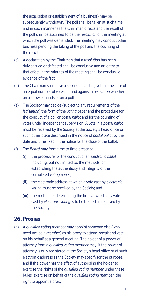the acquisition or establishment of a business) may be subsequently withdrawn. The poll shall be taken at such time and in such manner as the Chairman directs and the result of the poll shall be assumed to be the *resolution* of the meeting at which the poll was demanded. The meeting may conduct other business pending the taking of the poll and the counting of the result.

- (c) A declaration by the Chairman that a *resolution* has been duly carried or defeated shall be conclusive and an entry to that effect in the minutes of the meeting shall be conclusive evidence of the fact.
- (d) The Chairman shall have a second or casting vote in the case of an equal number of votes for and against a *resolution* whether on a show of hands or on a poll.
- (e) The Society may decide (subject to any requirements of the *legislation*) the form of the *voting paper* and the procedure for the conduct of a poll or *postal ballot* and for the counting of votes under independent supervision. A vote in a *postal ballot*  must be received by the Society at the Society's head office or such other place described in the notice of *postal ballot* by the date and time fixed in the notice for the close of the ballot.
- (f) The *Board* may from time to time prescribe:
	- (i) the procedure for the conduct of an *electronic ballot*  including, but not limited to, the methods for establishing the authenticity and integrity of the completed *voting paper*;
	- (ii) the electronic address at which a vote cast by *electronic voting* must be received by the Society; and
	- (iii) the method of determining the time at which any vote cast by *electronic voting* is to be treated as received by the Society.

#### **26. Proxies**

(a) A *qualified voting member* may appoint someone else (who need not be a *member*) as his proxy to attend, speak and vote on his behalf at a general meeting. The holder of a power of attorney from a *qualified voting member* may, if the power of attorney is duly registered at the Society's head office or at such electronic address as the Society may specify for the purpose, and if the power has the effect of authorising the holder to exercise the rights of the *qualified voting member* under these Rules, exercise on behalf of the *qualified voting member,* the right to appoint a proxy.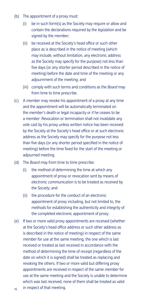- (b) The appointment of a proxy must:
	- (i) be in such form(s) as the Society may require or allow and contain the declarations required by the *legislation* and be signed by the *member*;
	- (ii) be received at the Society's head office or such other place as is described in the notice of meeting (which may include, without limitation, any electronic address as the Society may specify for the purpose) not less than five days (or any shorter period described in the notice of meeting) before the date and time of the meeting or any adiournment of the meeting; and
	- (iii) comply with such terms and conditions as the *Board* may from time to time prescribe.
- (c) A *member* may revoke his appointment of a proxy at any time and the appointment will be automatically terminated on the *member's* death or legal incapacity or if he ceases to be a *member*. Revocation or termination shall not invalidate any vote cast by his proxy unless written notice has been received by the Society at the Society's head office or at such electronic address as the Society may specify for the purpose not less than five days (or any shorter period specified in the notice of meeting) before the time fixed for the start of the meeting or adjourned meeting.
- (d) The *Board* may from time to time prescribe:
	- (i) the method of determining the time at which any appointment of proxy or revocation sent by means of *electronic communication* is to be treated as received by the Society; and
	- (ii) the procedure for the conduct of an electronic appointment of proxy including, but not limited to, the methods for establishing the authenticity and integrity of the completed electronic appointment of proxy.
- (e) If two or more valid proxy appointments are received (whether at the Society's head office address or such other address as is described in the notice of meeting) in respect of the same *member* for use at the same meeting, the one which is last received or treated as last received in accordance with the method of determining the time of receipt (regardless of the date on which it is signed) shall be treated as replacing and revoking the others. If two or more valid but differing proxy appointments are received in respect of the same *member* for use at the same meeting and the Society is unable to determine which was last received, none of them shall be treated as valid <sub>16</sub> in respect of that meeting.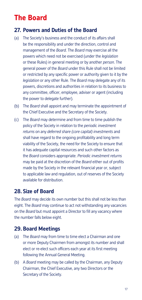# **The Board**

#### **27. Powers and Duties of the Board**

- (a) The Society's business and the conduct of its affairs shall be the responsibility and under the direction, control and management of the *Board*. The *Board* may exercise all the powers which need not be exercised (under the *legislation*  or these Rules) in general meeting or by another *person*. The general power of the *Board* under this Rule shall not be limited or restricted by any specific power or authority given to it by the *legislation* or any other Rule. The *Board* may delegate any of its powers, discretions and authorities in relation to its business to any committee, officer, employee, adviser or agent (including the power to delegate further).
- (b) The *Board* shall appoint and may terminate the appointment of the Chief Executive and the Secretary of the Society.
- (c) The *Board* may determine and from time to time publish the policy of the Society in relation to the *periodic investment returns* on any *deferred share (core capital) investments* and shall have regard to the ongoing profitability and long term viability of the Society, the need for the Society to ensure that it has adequate capital resources and such other factors as the *Board* considers appropriate. *Periodic investment returns*  may be paid at the discretion of the *Board* either out of profits made by the Society in the relevant financial year or, subject to applicable law and regulation, out of reserves of the Society available for distribution.

#### **28. Size of Board**

The *Board* may decide its own number but this shall not be less than eight. The *Board* may continue to act not withstanding any vacancies on the *Board* but must appoint a Director to fll any vacancy where the number falls below eight.

#### **29. Board Meetings**

- (a) The *Board* may from time to time elect a Chairman and one or more Deputy Chairmen from amongst its number and shall elect or re-elect such officers each year at its first meeting following the Annual General Meeting.
- (b) A *Board* meeting may be called by the Chairman, any Deputy Chairman, the Chief Executive, any two Directors or the Secretary of the Society.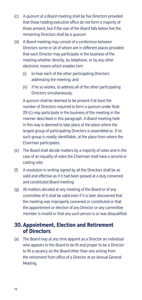- (c) A *quorum* at a *Board* meeting shall be five Directors provided that those holding executive office do not form a majority of those present, but if the size of the *Board* falls below five the remaining Directors shall be a *quorum*.
- (d) A *Board* meeting may consist of a conference between Directors some or all of whom are in different places provided that each Director may participate in the business of the meeting whether directly, by telephone, or by any other electronic means which enables him:
	- (i) to hear each of the other participating Directors addressing the meeting; and
	- (ii) if he so wishes, to address all of the other participating Directors simultaneously.

 Chairman participates. A *quorum* shall be deemed to be present if at least the number of Directors required to form a *quorum* under Rule 29 (c) may participate in the business of the meeting in the manner described in this paragraph. A *Board* meeting held in this way is deemed to take place at the place where the largest group of participating Directors is assembled or, if no such group is readily identifiable, at the place from where the

- (e) The *Board* shall decide matters by a majority of votes and in the case of an equality of votes the Chairman shall have a second or casting vote.
- (f) A *resolution* in writing signed by all the Directors shall be as valid and effective as if it had been passed at a duly convened and constituted *Board* meeting.
- (g) All matters decided at any meeting of the *Board* or of any committee of it shall be valid even if it is later discovered that the meeting was improperly convened or constituted or that the appointment or election of any Director or any committee member is invalid or that any such *person* is or was disqualified.

#### **30. Appointment, Election and Retirement of Directors**

(a) The *Board* may at any time appoint as a Director an individual who appears to the *Board* to be fit and proper to be a Director to fill a vacancy on the *Board* other than one arising from the retirement from office of a Director at an Annual General Meeting.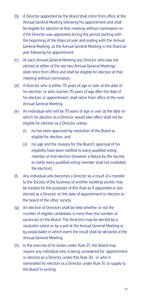- (b) A Director appointed by the *Board* shall retire from office at the Annual General Meeting following his appointment and shall be eligible for election at that meeting without nomination or, if the Director was appointed during the period starting with the beginning of the *financial year* and ending with the Annual General Meeting, at the Annual General Meeting in the *financial year* following his appointment.
- (c) At each Annual General Meeting any Director who was not elected at either of the last two Annual General Meetings shall retire from office and shall be eligible for election at that meeting without nomination.
- (d) A Director who is either 70 years of age or over at the date of his election, or who reaches 70 years of age after the date of his election or appointment, shall retire from office at the next Annual General Meeting.
- (e) An individual who will be 70 years of age or over at the date on which his election as a Director would take effect shall not be eligible for election as a Director unless:
	- (i) he has been approved by resolution of the *Board* as eligible for election; and
	- (ii) his age and the reasons for the *Board's* approval of his eligibility have been notified to every *qualified voting member* at that election (however a failure by the Society to notify every *qualified voting member* shall not invalidate the election).
- (f) Any individual who becomes a Director as a result of a transfer to the Society of the business of another building society may be treated for the purposes of this Rule as if appointed or last elected as a Director on the date of appointment or election to the board of the other society.
- (g) An election of Directors shall be held whether or not the number of eligible candidates is more than the number of vacancies on the *Board*. The Directors may be elected by a *resolution* voted on by a poll at the Annual General Meeting or by *postal ballot* in which event the result shall be declared at the Annual General Meeting.
- (h) In the exercise of its duties under Rule 27, the *Board* may require any individual who is being considered for appointment or election as a Director under this Rule 30, or who is nominated for election as a Director under Rule 31, to supply to the *Board* in writing: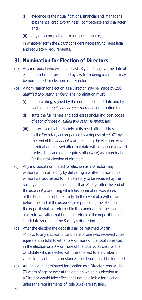- (i) evidence of their qualifications, financial and managerial experience, creditworthiness, competence and character; and
- (ii) any duly completed form or questionnaire,

in whatever form the *Board* considers necessary to meet legal and regulatory requirements.

#### **31. Nomination for Election of Directors**

- (a) Any individual who will be at least 18 years of age at the date of election and is not prohibited by law from being a director may be nominated for election as a Director.
- (b) A nomination for election as a Director may be made by 250 *qualified two year members*. The nomination must:
	- (i) be in writing, signed by the nominated candidate and by each of the *qualified two year members* nominating him;
	- (ii) state the full names and addresses (including post codes) of each of those *qualified two year members*; and
	- (iii) be received by the Society at its head office addressed to the Secretary accompanied by a deposit of £500\* by the end of the *financial year* preceding the election. Any nomination received after that date will be carried forward (unless the candidate requires otherwise) as a nomination for the next election of directors.
- (c) Any individual nominated for election as a Director may withdraw his name only by delivering a written notice of his withdrawal addressed to the Secretary to be received by the Society at its head office not later than 21 days after the end of the *financial year* during which his nomination was received at the head office of the Society. In the event of a withdrawal before the end of the *financial year* preceding the election, the deposit shall be returned to the candidate. In the event of a withdrawal after that time, the return of the deposit to the candidate shall be at the Society's discretion.
- (d) After the election the deposit shall be returned within 14 days to any successful candidate or one who received votes equivalent in total to either 5% or more of the total votes cast in the election or 20% or more of the total votes cast for the candidate who is elected with the smallest total number of votes. In any other circumstances the deposit shall be forfeited.
- (e) An individual nominated for election as a Director who will be 70 years of age or over at the date on which his election as a Director would take effect shall not be eligible for election unless the requirements of Rule 30(e) are satisfied.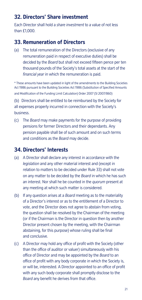## **32. Directors' Share investment**

Each Director shall hold a *share investment* to a value of not less than £1,000.

#### **33. Remuneration of Directors**

(a) The total remuneration of the Directors (exclusive of any remuneration paid in respect of executive duties) shall be decided by the *Board* but shall not exceed fifteen pence per ten thousand pounds of the Society's total assets at the start of the *financial year* in which the remuneration is paid.

\* These amounts have been updated in light of the amendments to the Building Societies Act 1986 pursuant to the Building Societies Act 1986 (Substitution of Specifed Amounts and Modifcation of the Funding Limit Calculation) Order 2007 (SI 2007/860)

(b) Directors shall be entitled to be reimbursed by the Society for all expenses properly incurred in connection with the Society's business.

(c) The *Board* may make payments for the purpose of providing pensions for former Directors and their dependants. Any pension payable shall be of such amount and on such terms and conditions as the *Board* may decide.

## **34. Directors' Interests**

- (a) A Director shall declare any interest in accordance with the *legislation* and any other material interest and (except in relation to matters to be decided under Rule 33) shall not vote on any matter to be decided by the *Board* in which he has such an interest. Nor shall he be counted in the *quorum* present at any meeting at which such matter is considered.
- (b) If any question arises at a *Board* meeting as to the materiality of a Director's interest or as to the entitlement of a Director to vote, and the Director does not agree to abstain from voting, the question shall be resolved by the Chairman of the meeting (or if the Chairman is the Director in question then by another Director present chosen by the meeting, with the Chairman abstaining, for this purpose) whose ruling shall be final and conclusive.
- (c) A Director may hold any office of profit with the Society (other than the office of auditor or valuer) simultaneously with his office of Director and may be appointed by the *Board* to an office of profit with any body corporate in which the Society is, or will be, interested. A Director appointed to an office of profit with any such body corporate shall promptly disclose to the *Board* any benefit he derives from that office.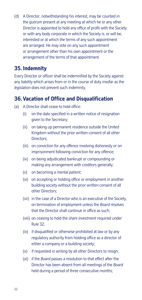(d) A Director, notwithstanding his interest, may be counted in the *quorum* present at any meeting at which he or any other Director is appointed to hold any office of profit with the Society or with any body corporate in which the Society is, or will be, interested or at which the terms of any such appointment are arranged. He may vote on any such appointment or arrangement other than his own appointment or the arrangement of the terms of that appointment.

#### **35. Indemnity**

Every Director or officer shall be indemnified by the Society against any liability which arises from or in the course of duty insofar as the *legislation* does not prevent such indemnity.

#### **36. Vacation of Office and Disqualification**

- (a) A Director shall cease to hold office:
	- (i) on the date specified in a written notice of resignation given to the Secretary;
	- (ii) on taking up permanent residence outside the United Kingdom without the prior written consent of all other Directors;
	- (iii) on conviction for any offence involving dishonesty or on imprisonment following conviction for any offence;
	- (iv) on being adjudicated bankrupt or compounding or making any arrangement with creditors generally;
	- (v) on becoming a *mental patient*;
	- (vi) on accepting or holding office or employment in another building society without the prior written consent of all other Directors;
	- (vii) in the case of a Director who is an executive of the Society, on termination of employment unless the *Board* resolves that the Director shall continue in office as such;
	- (viii) on ceasing to hold the *share investment* required under Rule 32;
	- (ix) if disqualified or otherwise prohibited at law or by any regulatory authority from holding office as a director of either a company or a building society;
	- (x) if requested in writing by all other Directors to resign;
	- (xi) if the *Board* passes a resolution to that effect after the Director has been absent from all meetings of the *Board*  held during a period of three consecutive *months*;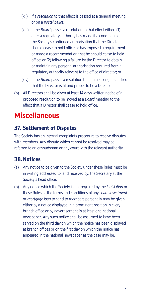- (xii) if a *resolution* to that effect is passed at a general meeting or on a *postal ballot*;
- (xiii) if the *Board* passes a resolution to that effect either: (1) after a regulatory authority has made it a condition of the Society's continued authorisation that the Director should cease to hold office or has imposed a requirement or made a recommendation that he should cease to hold office; or (2) following a failure by the Director to obtain or maintain any personal authorisation required from a regulatory authority relevant to the office of director; or
- (xiv) if the *Board* passes a resolution that it is no longer satisfed that the Director is fit and proper to be a Director.
- (b) All Directors shall be given at least 14 days written notice of a proposed resolution to be moved at a *Board* meeting to the effect that a Director shall cease to hold office.

# **Miscellaneous**

# **37. Settlement of Disputes**

The Society has an internal complaints procedure to resolve disputes with *members*. Any dispute which cannot be resolved may be referred to an ombudsman or any court with the relevant authority.

## **38. Notices**

- (a) Any notice to be given to the Society under these Rules must be in writing addressed to, and received by, the Secretary at the Society's head office.
- (b) Any notice which the Society is not required by the *legislation* or these Rules or the terms and conditions of any *share investment*  or *mortgage loan* to send to *members* personally may be given either by a notice displayed in a prominent position in every branch office or by advertisement in at least one national newspaper. Any such notice shall be assumed to have been served on the third day on which the notice has been displayed at branch offices or on the first day on which the notice has appeared in the national newspaper as the case may be.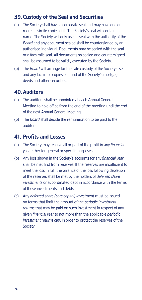## **39. Custody of the Seal and Securities**

- (a) The Society shall have a corporate seal and may have one or more facsimile copies of it. The Society's seal will contain its name. The Society will only use its seal with the authority of the *Board* and any document sealed shall be countersigned by an authorised individual. Documents may be sealed with the seal or a facsimile seal. All documents so sealed and countersigned shall be assumed to be validly executed by the Society.
- (b) The *Board* will arrange for the safe custody of the Society's seal and any facsimile copies of it and of the Society's mortgage deeds and other securities.

#### **40. Auditors**

- (a) The auditors shall be appointed at each Annual General Meeting to hold office from the end of the meeting until the end of the next Annual General Meeting.
- (b) The *Board* shall decide the remuneration to be paid to the auditors.

#### **41. Profts and Losses**

- (a) The Society may reserve all or part of the profit in any *financial year* either for general or specific purposes.
- (b) Any loss shown in the Society's accounts for any *financial year*  shall be met first from reserves. If the reserves are insufficient to meet the loss in full, the balance of the loss following depletion of the reserves shall be met by the holders of *deferred share investments* or subordinated debt in accordance with the terms of those investments and debts.
- (c) Any *deferred share (core capital) investment* must be issued on terms that limit the amount of the *periodic investment returns* that may be paid on such investment in respect of any given *financial year* to not more than the applicable *periodic investment returns cap*, in order to protect the reserves of the Society.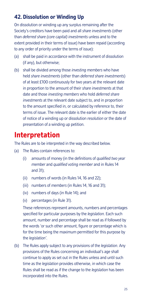# **42. Dissolution or Winding Up**

On dissolution or winding up any surplus remaining after the Society's creditors have been paid and all *share investments* (other than *deferred share (core capital) investments* unless and to the extent provided in their terms of issue) have been repaid (according to any order of priority under the terms of issue):

- (a) shall be paid in accordance with the instrument of dissolution (if any), but otherwise;
- (b) shall be divided among those *investing members* who have held *share investments* (other than *deferred share investments*) of at least £100 continuously for two years at the relevant date in proportion to the amount of their *share investments* at that date and those *investing members* who hold *deferred share investments* at the relevant date subject to, and in proportion to the amount specified in, or calculated by reference to, their terms of issue. The relevant date is the earlier of either the date of notice of a winding up or dissolution *resolution* or the date of presentation of a winding up petition.

# **Interpretation**

The Rules are to be interpreted in the way described below.

- (a) The Rules contain references to:
	- (i) amounts of money (in the definitions of *qualified two year member* and *qualified voting member* and in Rules 14 and 31);
	- (ii) numbers of words (in Rules 14, 16 and 22);
	- (iii) numbers of *members* (in Rules 14, 16 and 31);
	- (iv) numbers of days (in Rule 14); and
	- (v) percentages (in Rule 31).

These references represent amounts, numbers and percentages specified for particular purposes by the *legislation*. Each such amount, number and percentage shall be read as if followed by the words 'or such other amount, figure or percentage which is for the time being the maximum permitted for this purpose by the *legislation'*.

(b) The Rules apply subject to any provisions of the *legislation*. Any provisions of the Rules concerning an individual's age shall continue to apply as set out in the Rules unless and until such time as the *legislation* provides otherwise, in which case the Rules shall be read as if the change to the *legislation* has been incorporated into the Rules.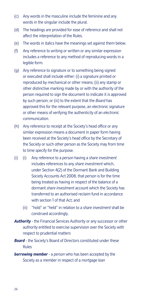- (c) Any words in the masculine include the feminine and any words in the singular include the plural.
- (d) The headings are provided for ease of reference and shall not affect the interpretation of the Rules.
- (e) The words in italics have the meanings set against them below.
- (f) Any reference to writing or written or any similar expression includes a reference to any method of reproducing words in a legible form.
- (g) Any reference to signature or to something being signed or executed shall include either: (i) a signature printed or reproduced by mechanical or other means; (ii) any stamp or other distinctive marking made by or with the authority of the person required to sign the document to indicate it is approved by such person; or (iii) to the extent that the *Board* has approved this for the relevant purpose, an electronic signature or other means of verifying the authenticity of an *electronic communication*.
- (h) Any reference to receipt at the Society's head office or any similar expression means a document in paper form having been received at the Society's head office by the Secretary of the Society or such other person as the Society may from time to time specify for the purpose.
- $(i)$ (i) (i) Any reference to a *person* having a *share investment*  includes references to any *share investment* which, under Section 4(2) of the Dormant Bank and Building Society Accounts Act 2008, that *person* is for the time being treated as having in respect of the balance of a dormant *share investment* account which the Society has transferred to an authorised reclaim fund in accordance with section 1 of that Act; and
	- (ii) "hold" or "held" in relation to a *share investment* shall be construed accordingly.
- *Authority*  the Financial Services Authority or any successor or other authority entitled to exercise supervision over the Society with respect to prudential matters
- *Board* the Society's Board of Directors constituted under these Rules
- *borrowing member* a *person* who has been accepted by the Society as a *member* in respect of a *mortgage loan*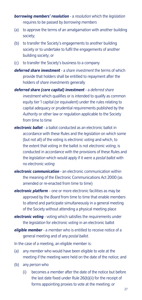*borrowing members' resolution* - a *resolution* which the *legislation*  requires to be passed by *borrowing members* 

- (a) to approve the terms of an amalgamation with another building society;
- (b) to transfer the Society's engagements to another building society or to undertake to fulfil the engagements of another building society; or
- (c) to transfer the Society's business to a company
- *deferred share investment* a *share investment* the terms of which provide that holders shall be entitled to repayment after the holders of *share investments* generally
- *deferred share (core capital) investment*  a *deferred share investment* which qualifies or is intended to qualify as common equity tier 1 capital (or equivalent) under the rules relating to capital adequacy or prudential requirements published by the *Authority* or other law or regulation applicable to the Society from time to time
- *electronic ballot* a ballot conducted as an electronic ballot in accordance with these Rules and the *legislation* on which some (but not all) of the voting is *electronic voting* and which, to the extent that voting in the ballot is not *electronic voting*, is conducted in accordance with the provisions of these Rules and the *legislation* which would apply if it were a *postal ballot* with no *electronic voting*
- *electronic communication* an electronic communication within the meaning of the Electronic Communications Act 2000 (as amended or re-enacted from time to time)
- *electronic platform*  one or more electronic facilities as may be approved by the *Board* from time to time that enable *members*  to attend and participate simultaneously in a general meeting of the Society without attending a physical meeting place
- *electronic voting*  voting which satisfies the requirements under the *legislation* for *electronic voting* in an electronic ballot
- *eligible member* a *member* who is entitled to receive notice of a general meeting and of any *postal ballot*.
- In the case of a meeting, an eligible member is:
- (a) any *member* who would have been eligible to vote at the meeting if the meeting were held on the date of the notice; and
- (b) any *person* who
	- (i) becomes a *member* after the date of the notice but before the last date fixed under Rule 26(b)(ii) for the receipt of forms appointing proxies to vote at the meeting; or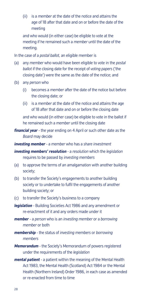(ii) is a *member* at the date of the notice and attains the age of 18 after that date and on or before the date of the meeting

and who would (in either case) be eligible to vote at the meeting if he remained such a *member* until the date of the meeting.

In the case of a *postal ballot,* an eligible member is

- (a) any *member* who would have been eligible to vote in the *postal ballot* if the closing date for the receipt of *voting papers* ('the closing date') were the same as the date of the notice; and
- (b) any *person* who
	- (i) becomes a *member* after the date of the notice but before the closing date; or
	- (ii) is a *member* at the date of the notice and attains the age of 18 after that date and on or before the closing date

and who would (in either case) be eligible to vote in the ballot if he remained such a *member* until the closing date

- *financial year* the year ending on 4 April or such other date as the *Board* may decide
- *investing member* a *member* who has a *share investment*
- *investing members' resolution* a *resolution* which the *legislation*  requires to be passed by *investing members*
- (a) to approve the terms of an amalgamation with another building society;
- (b) to transfer the Society's engagements to another building society or to undertake to fulfil the engagements of another building society; or
- (c) to transfer the Society's business to a company
- *legislation*  Building Societies Act 1986 and any amendment or re-enactment of it and any orders made under it
- *member*  a *person* who is an *investing member* or a *borrowing member* or both
- *membership* the status of *investing members* or *borrowing members*
- *Memorandum* the Society's Memorandum of powers registered under the requirements of the *legislation*
- *mental patient*  a patient within the meaning of the Mental Health Act 1983, the Mental Health (Scotland) Act 1984 or the Mental Health (Northern Ireland) Order 1986, in each case as amended or re-enacted from time to time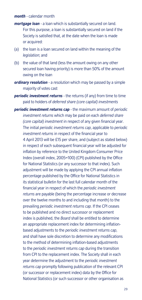#### *month* - calendar month

- *mortgage loan* a loan which is substantially secured on land. For this purpose, a loan is substantially secured on land if the Society is satisfied that, at the date when the loan is made or acquired:
- (a) the loan is a loan secured on land within the meaning of the *legislation*; and
- (b) the value of that land (less the amount owing on any other secured loan having priority) is more than 50% of the amount owing on the loan
- *ordinary resolution*  a *resolution* which may be passed by a simple majority of votes cast
- *periodic investment returns*  the returns (if any) from time to time paid to holders of *deferred share (core capital) investments*
- *periodic investment returns cap*  the maximum amount of *periodic investment returns* which may be paid on each *deferred share (core capital) investment* in respect of any given financial year. The initial *periodic investment returns cap*, applicable to *periodic investment returns* in respect of the financial year to 4 April 2013 will be £15 per share, and (subject as stated below) in respect of each subsequent financial year will be adjusted for inflation by reference to the United Kingdom Consumer Price Index (overall index, 2005=100) (CPI) published by the Office for National Statistics (or any successor to that index). Such adjustment will be made by applying the CPI annual inflation percentage published by the Office for National Statistics in its statistical bulletin for the last full calendar month of the financial year in respect of which the *periodic investment returns* are payable (being the percentage increase or decrease over the twelve months to and including that month) to the prevailing *periodic investment returns cap*. If the CPI ceases to be published and no direct successor or replacement index is published, the *Board* shall be entitled to determine an appropriate replacement index for determining inflationbased adjustments to the *periodic investment returns cap*, and shall have sole discretion to determine any modifications to the method of determining inflation-based adjustments to the *periodic investment returns cap* during the transition from CPI to the replacement index. The Society shall in each year determine the adjustment to the *periodic investment returns cap* promptly following publication of the relevant CPI (or successor or replacement index) data by the Office for National Statistics (or such successor or other organisation as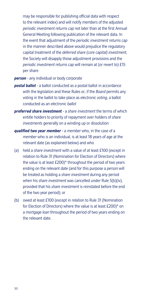may be responsible for publishing official data with respect to the relevant index) and will notify *members* of the adjusted *periodic investment returns cap* not later than at the first Annual General Meeting following publication of the relevant data. In the event that adjustment of the *periodic investment returns cap*  in the manner described above would prejudice the regulatory capital treatment of the *deferred share (core capital) investment*, the Society will disapply those adjustment provisions and the *periodic investment returns cap* will remain at (or revert to) £15 per share

#### *person* - any individual or body corporate

- *postal ballot*  a ballot conducted as a postal ballot in accordance with the *legislation* and these Rules or, if the *Board* permits any voting in the ballot to take place as *electronic voting*, a ballot conducted as an *electronic ballot*
- *preferred share investment* a *share investment* the terms of which entitle holders to priority of repayment over holders of *share investments* generally on a winding up or dissolution
- *qualified two year member* a *member* who, in the case of a *member* who is an individual, is at least 18 years of age at the relevant date (as explained below) and who
- (a) held a *share investment* with a value of at least £100 (except in relation to Rule 31 (Nomination for Election of Directors) where the value is at least £200)\* throughout the period of two years ending on the relevant date (and for this purpose a *person* will be treated as holding a *share investment* during any period when his *share investment* was cancelled under Rule 5(b)(iv), provided that his *share investment* is reinstated before the end of the two year period); or
- (b) owed at least £100 (except in relation to Rule 31 (Nomination for Election of Directors) where the value is at least £200)\* on a *mortgage loan* throughout the period of two years ending on the relevant date.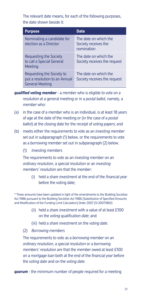The relevant date means, for each of the following purposes, the date shown beside it:

| <b>Purpose</b>                                                                       | Date                                                        |
|--------------------------------------------------------------------------------------|-------------------------------------------------------------|
| Nominating a candidate for<br>election as a Director                                 | The date on which the<br>Society receives the<br>nomination |
| Requesting the Society<br>to call a Special General<br>Meeting                       | The date on which the<br>Society receives the request       |
| Requesting the Society to<br>put a resolution to an Annual<br><b>General Meeting</b> | The date on which the<br>Society receives the request       |

*qualified voting member* - a *member* who is eligible to vote on a *resolution* at a general meeting or in a *postal ballot*, namely, a *member* who:

- (a) in the case of a *member* who is an individual, is at least 18 years of age at the date of the meeting or (in the case of a *postal ballot*) at the closing date for the receipt of *voting papers*; and
- (b) meets either the requirements to vote as an *investing member*  set out in subparagraph (1) below, or the requirements to vote as a *borrowing member* set out in subparagraph (2) below.
	- (1) *Investing members*

The requirements to vote as an *investing member* on an *ordinary resolution*, a *special resolution* or an *investing members' resolution* are that the *member*:

(i) held a *share investment* at the end of the *fnancial year*  before the voting date;

\* These amounts have been updated in light of the amendments to the Building Societies Act 1986 pursuant to the Building Societies Act 1986 (Substitution of Specifed Amounts and Modifcation of the Funding Limit Calculation) Order 2007 (SI 2007/860)

- (ii) held a *share investment* with a value of at least £100 on the *voting qualifcation date*; and
- (iii) held a *share investment* on the *voting date*.
- (2) *Borrowing members*

The requirements to vote as a *borrowing member* on an *ordinary resolution*, a *special resolution* or a *borrowing members' resolution* are that the *member* owed at least £100 on a *mortgage loan* both at the end of the *financial year* before the *voting date* and on the *voting date*.

*quorum* - the minimum number of people required for a meeting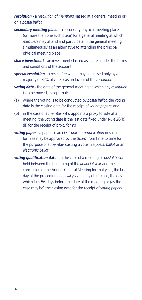#### *resolution* - a *resolution* of *members* passed at a general meeting or on a *postal ballot*

- (or more than one such place) for a general meeting at which *secondary meeting place* – a secondary physical meeting place *members* may attend and participate in the general meeting simultaneously as an alternative to attending the principal physical meeting place
- *share investment* an investment classed as shares under the terms and conditions of the account
- *special resolution* a *resolution* which may be passed only by a majority of 75% of votes cast in favour of the *resolution*
- *voting date* the date of the general meeting at which any *resolution*  is to be moved, except that:
- (a) where the voting is to be conducted by *postal ballot*, the voting date is the closing date for the receipt of *voting papers*; and
- (b) in the case of a *member* who appoints a proxy to vote at a meeting, the voting date is the last date fixed under Rule 26(b) (ii) for the receipt of proxy forms
- *voting paper* a paper or an *electronic communication* in such form as may be approved by the *Board* from time to time for the purpose of a *member* casting a vote in a *postal ballot* or an *electronic ballot*
- *voting qualification date* in the case of a meeting or *postal ballot*  held between the beginning of the *financial year* and the conclusion of the Annual General Meeting for that year, the last day of the preceding *financial year;* in any other case, the day which falls 56 days before the date of the meeting or (as the case may be) the closing date for the receipt of *voting papers*.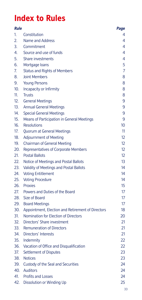# **Index to Rules**

| <b>Rule</b> |                                                   | Page |
|-------------|---------------------------------------------------|------|
| 1.          | Constitution                                      | 4    |
| 2.          | Name and Address                                  | 4    |
| 3.          | Commitment                                        | 4    |
| 4.          | Source and use of funds                           | 4    |
| 5.          | Share investments                                 | 4    |
| 6.          | Mortgage loans                                    | 5    |
| 7.          | <b>Status and Rights of Members</b>               | 7    |
| 8.          | <b>Joint Members</b>                              | 8    |
| 9.          | <b>Young Persons</b>                              | 8    |
| 10.         | Incapacity or Infirmity                           | 8    |
| 11.         | <b>Trusts</b>                                     | 8    |
| 12.         | <b>General Meetings</b>                           | 9    |
| 13.         | <b>Annual General Meetings</b>                    | 9    |
| 14.         | <b>Special General Meetings</b>                   | 9    |
| 15.         | Means of Participation in General Meetings        | 9    |
| 16.         | <b>Resolutions</b>                                | 10   |
| 17.         | Quorum at General Meetings                        | 11   |
| 18.         | <b>Adjournment of Meeting</b>                     | 12   |
| 19.         | <b>Chairman of General Meeting</b>                | 12   |
| 20.         | Representatives of Corporate Members              | 12   |
| 21.         | <b>Postal Ballots</b>                             | 12   |
| 22.         | Notice of Meetings and Postal Ballots             | 13   |
| 23.         | Validity of Meetings and Postal Ballots           | 14   |
| 24.         | <b>Voting Entitlement</b>                         | 14   |
| 25.         | <b>Voting Procedure</b>                           | 14   |
| 26.         | Proxies                                           | 15   |
| 27.         | Powers and Duties of the Board                    | 17   |
| 28.         | Size of Board                                     | 17   |
| 29.         | <b>Board Meetings</b>                             | 17   |
| 30.         | Appointment, Election and Retirement of Directors | 18   |
| 31.         | Nomination for Election of Directors              | 20   |
| 32.         | Directors' Share investment                       | 21   |
| 33.         | <b>Remuneration of Directors</b>                  | 21   |
| 34.         | Directors' Interests                              | 21   |
| 35.         | Indemnity                                         | 22   |
| 36.         | Vacation of Office and Disqualification           | 22   |
| 37.         | Settlement of Disputes                            | 23   |
| 38.         | <b>Notices</b>                                    | 23   |
| 39.         | Custody of the Seal and Securities                | 24   |
| 40.         | Auditors                                          | 24   |
| 41.         | <b>Profits and Losses</b>                         | 24   |
| 42.         | Dissolution or Winding Up                         | 25   |